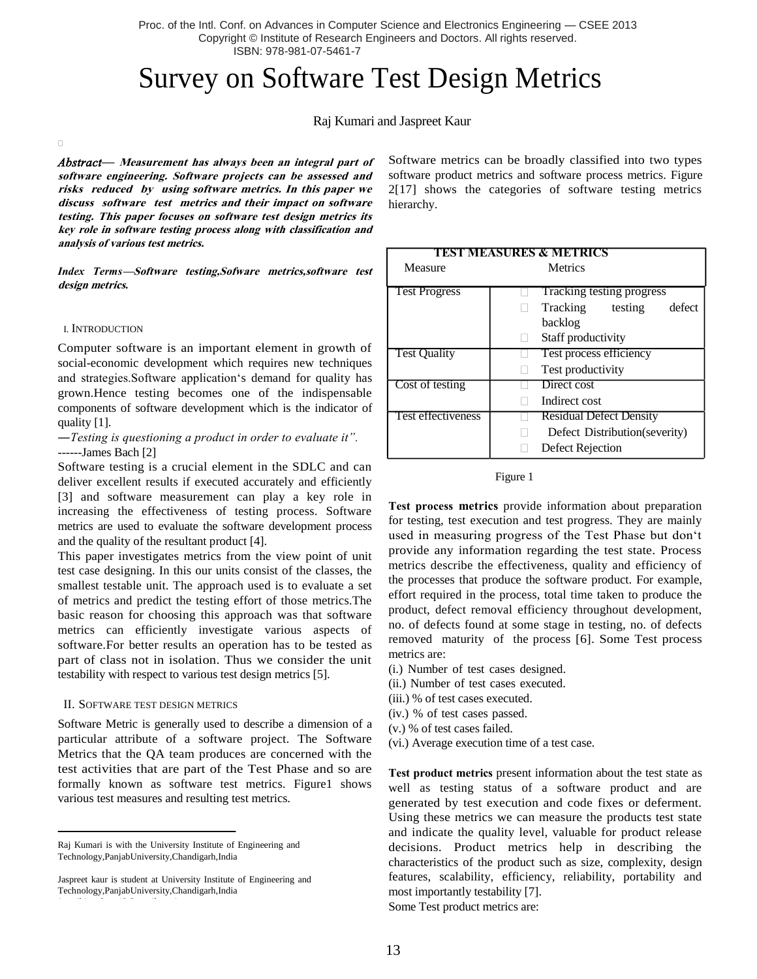Proc. of the Intl. Conf. on Advances in Computer Science and Electronics Engineering — CSEE 2013 Copyright © Institute of Research Engineers and Doctors. All rights reserved. ISBN: 978-981-07-5461-7

# Survey on Software Test Design Metrics

## Raj Kumari and Jaspreet Kaur

*Abstract—* **Measurement has always been an integral part of software engineering. Software projects can be assessed and risks reduced by using software metrics. In this paper we discuss software test metrics and their impact on software testing. This paper focuses on software test design metrics its key role in software testing process along with classification and analysis of various test metrics.**

*Index Terms***—Software testing,Sofware metrics,software test design metrics.**

#### I. INTRODUCTION

 $\Box$ 

Computer software is an important element in growth of social-economic development which requires new techniques and strategies. Software application's demand for quality has grown.Hence testing becomes one of the indispensable components of software development which is the indicator of quality [1].

―*Testing is questioning a product in order to evaluate it".* ------James Bach [2]

Software testing is a crucial element in the SDLC and can deliver excellent results if executed accurately and efficiently [3] and software measurement can play a key role in increasing the effectiveness of testing process. Software metrics are used to evaluate the software development process and the quality of the resultant product [4].

This paper investigates metrics from the view point of unit test case designing. In this our units consist of the classes, the smallest testable unit. The approach used is to evaluate a set of metrics and predict the testing effort of those metrics.The basic reason for choosing this approach was that software metrics can efficiently investigate various aspects of software.For better results an operation has to be tested as part of class not in isolation. Thus we consider the unit testability with respect to various test design metrics [5].

#### II. SOFTWARE TEST DESIGN METRICS

Software Metric is generally used to describe a dimension of a particular attribute of a software project. The Software Metrics that the QA team produces are concerned with the test activities that are part of the Test Phase and so are formally known as software test metrics. Figure1 shows various test measures and resulting test metrics.

Software metrics can be broadly classified into two types software product metrics and software process metrics. Figure 2[17] shows the categories of software testing metrics hierarchy.

| TEST MEASURES & METRICS |                                |
|-------------------------|--------------------------------|
| Measure                 | <b>Metrics</b>                 |
|                         |                                |
| <b>Test Progress</b>    | Tracking testing progress      |
|                         | defect<br>Tracking<br>testing  |
|                         | backlog                        |
|                         | Staff productivity             |
| <b>Test Quality</b>     | Test process efficiency        |
|                         | Test productivity              |
| Cost of testing         | Direct cost                    |
|                         | Indirect cost                  |
| Test effectiveness      | <b>Residual Defect Density</b> |
|                         | Defect Distribution (severity) |
|                         | Defect Rejection               |



**Test process metrics** provide information about preparation for testing, test execution and test progress. They are mainly used in measuring progress of the Test Phase but don"t provide any information regarding the test state. Process metrics describe the effectiveness, quality and efficiency of the processes that produce the software product. For example, effort required in the process, total time taken to produce the product, defect removal efficiency throughout development, no. of defects found at some stage in testing, no. of defects removed maturity of the process [6]. Some Test process metrics are:

- (i.) Number of test cases designed.
- (ii.) Number of test cases executed.
- (iii.) % of test cases executed.
- (iv.) % of test cases passed.
- (v.) % of test cases failed.
- (vi.) Average execution time of a test case.

**Test product metrics** present information about the test state as well as testing status of a software product and are generated by test execution and code fixes or deferment. Using these metrics we can measure the products test state and indicate the quality level, valuable for product release decisions. Product metrics help in describing the characteristics of the product such as size, complexity, design features, scalability, efficiency, reliability, portability and most importantly testability [7].

Some Test product metrics are:

Raj Kumari is with the University Institute of Engineering and Technology,PanjabUniversity,Chandigarh,India

Jaspreet kaur is student at University Institute of Engineering and Technology,PanjabUniversity,Chandigarh,India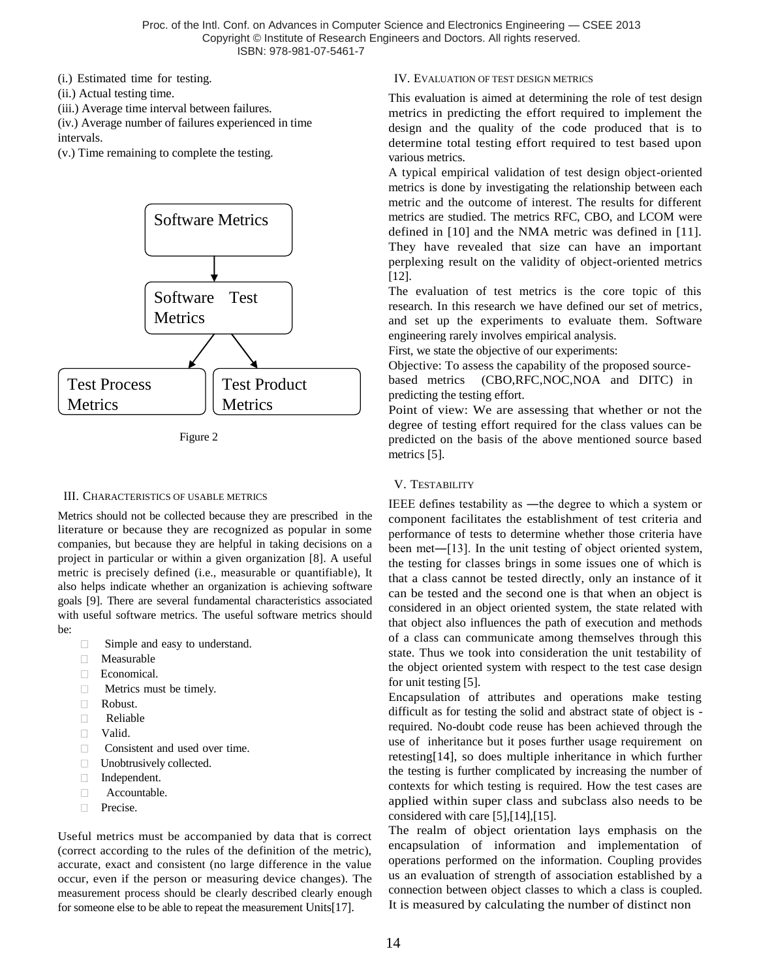(i.) Estimated time for testing.

- (ii.) Actual testing time.
- (iii.) Average time interval between failures.

(iv.) Average number of failures experienced in time intervals.

(v.) Time remaining to complete the testing.



Figure 2

## III. CHARACTERISTICS OF USABLE METRICS

Metrics should not be collected because they are prescribed in the literature or because they are recognized as popular in some companies, but because they are helpful in taking decisions on a project in particular or within a given organization [8]. A useful metric is precisely defined (i.e., measurable or quantifiable), It also helps indicate whether an organization is achieving software goals [9]. There are several fundamental characteristics associated with useful software metrics. The useful software metrics should be:

- □ Simple and easy to understand.
- Measurable
- Economical.
- $\Box$ Metrics must be timely.
- Robust.
- $\Box$ Reliable
- Valid.
- **Consistent and used over time.**
- □ Unobtrusively collected.
- Independent.
- $\Box$ Accountable.
- **Precise.**

Useful metrics must be accompanied by data that is correct (correct according to the rules of the definition of the metric), accurate, exact and consistent (no large difference in the value occur, even if the person or measuring device changes). The measurement process should be clearly described clearly enough for someone else to be able to repeat the measurement Units[17].

## IV. EVALUATION OF TEST DESIGN METRICS

This evaluation is aimed at determining the role of test design metrics in predicting the effort required to implement the design and the quality of the code produced that is to determine total testing effort required to test based upon various metrics.

A typical empirical validation of test design object-oriented metrics is done by investigating the relationship between each metric and the outcome of interest. The results for different metrics are studied. The metrics RFC, CBO, and LCOM were defined in [10] and the NMA metric was defined in [11]. They have revealed that size can have an important perplexing result on the validity of object-oriented metrics [12].

The evaluation of test metrics is the core topic of this research. In this research we have defined our set of metrics, and set up the experiments to evaluate them. Software engineering rarely involves empirical analysis.

First, we state the objective of our experiments:

Objective: To assess the capability of the proposed sourcebased metrics (CBO,RFC,NOC,NOA and DITC) in predicting the testing effort.

Point of view: We are assessing that whether or not the degree of testing effort required for the class values can be predicted on the basis of the above mentioned source based metrics [5].

# V. TESTABILITY

IEEE defines testability as ―the degree to which a system or component facilitates the establishment of test criteria and performance of tests to determine whether those criteria have been met―[13]. In the unit testing of object oriented system, the testing for classes brings in some issues one of which is that a class cannot be tested directly, only an instance of it can be tested and the second one is that when an object is considered in an object oriented system, the state related with that object also influences the path of execution and methods of a class can communicate among themselves through this state. Thus we took into consideration the unit testability of the object oriented system with respect to the test case design for unit testing [5].

Encapsulation of attributes and operations make testing difficult as for testing the solid and abstract state of object is required. No-doubt code reuse has been achieved through the use of inheritance but it poses further usage requirement on retesting[14], so does multiple inheritance in which further the testing is further complicated by increasing the number of contexts for which testing is required. How the test cases are applied within super class and subclass also needs to be considered with care [5],[14],[15].

The realm of object orientation lays emphasis on the encapsulation of information and implementation of operations performed on the information. Coupling provides us an evaluation of strength of association established by a connection between object classes to which a class is coupled. It is measured by calculating the number of distinct non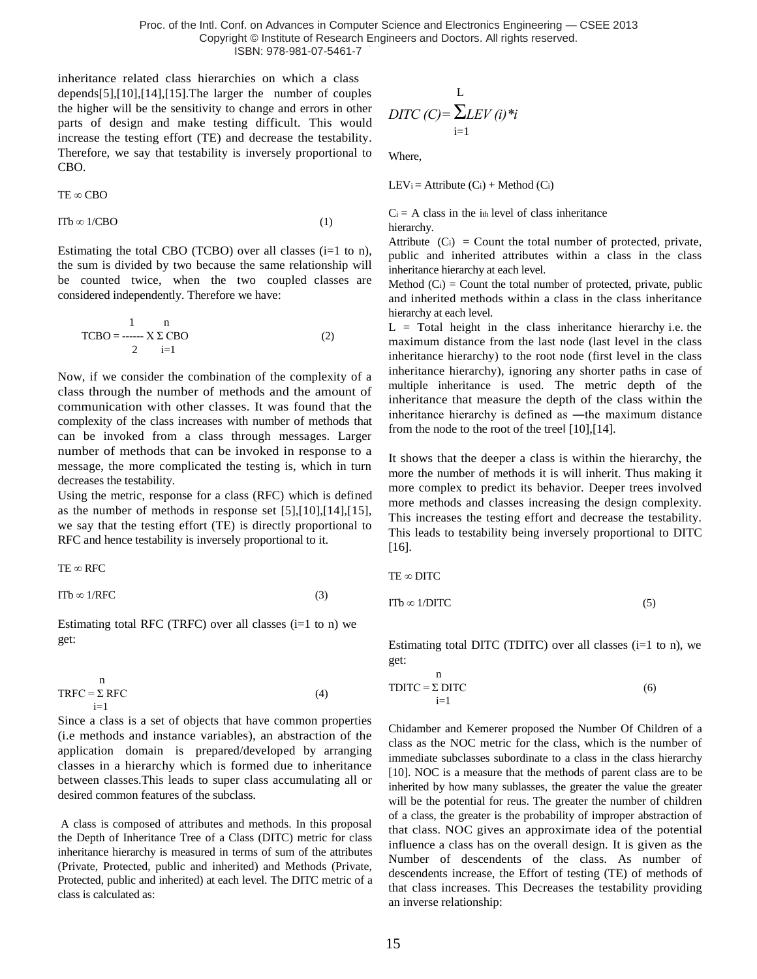Proc. of the Intl. Conf. on Advances in Computer Science and Electronics Engineering — CSEE 2013 Copyright © Institute of Research Engineers and Doctors. All rights reserved. ISBN: 978-981-07-5461-7

inheritance related class hierarchies on which a class depends[5],[10],[14],[15].The larger the number of couples the higher will be the sensitivity to change and errors in other parts of design and make testing difficult. This would increase the testing effort (TE) and decrease the testability. Therefore, we say that testability is inversely proportional to CBO.

$$
TE\varpropto CBO\,
$$

 $ITb \infty 1/CBO$  (1)

Estimating the total CBO (TCBO) over all classes  $(i=1 \text{ to } n)$ , the sum is divided by two because the same relationship will be counted twice, when the two coupled classes are considered independently. Therefore we have:

$$
\text{TCBO} = \frac{1}{2} \sum_{i=1}^{n} \text{CBO} \tag{2}
$$

Now, if we consider the combination of the complexity of a class through the number of methods and the amount of communication with other classes. It was found that the complexity of the class increases with number of methods that can be invoked from a class through messages. Larger number of methods that can be invoked in response to a message, the more complicated the testing is, which in turn decreases the testability.

Using the metric, response for a class (RFC) which is defined as the number of methods in response set [5],[10],[14],[15], we say that the testing effort (TE) is directly proportional to RFC and hence testability is inversely proportional to it.

TE ∞ RFC

$$
\text{ITb} \otimes 1/\text{RFC} \tag{3}
$$

Estimating total RFC (TRFC) over all classes  $(i=1$  to n) we get:

$$
TRFC = \sum_{i=1}^{n} RFC
$$
 (4)

Since a class is a set of objects that have common properties (i.e methods and instance variables), an abstraction of the application domain is prepared/developed by arranging classes in a hierarchy which is formed due to inheritance between classes.This leads to super class accumulating all or desired common features of the subclass.

A class is composed of attributes and methods. In this proposal the Depth of Inheritance Tree of a Class (DITC) metric for class inheritance hierarchy is measured in terms of sum of the attributes (Private, Protected, public and inherited) and Methods (Private, Protected, public and inherited) at each level. The DITC metric of a class is calculated as:

$$
L
$$
  
DITC (C)= $\sum_{i=1}^{L} LEV(i)*i$ 

Where,

LEV<sub>i</sub> = Attribute  $(C_i)$  + Method  $(C_i)$ 

 $C_i$  = A class in the i<sub>th</sub> level of class inheritance hierarchy.

Attribute  $(C_i)$  = Count the total number of protected, private, public and inherited attributes within a class in the class inheritance hierarchy at each level.

Method  $(C_i)$  = Count the total number of protected, private, public and inherited methods within a class in the class inheritance hierarchy at each level.

 $L =$  Total height in the class inheritance hierarchy i.e. the maximum distance from the last node (last level in the class inheritance hierarchy) to the root node (first level in the class inheritance hierarchy), ignoring any shorter paths in case of multiple inheritance is used. The metric depth of the inheritance that measure the depth of the class within the inheritance hierarchy is defined as ―the maximum distance from the node to the root of the treel [10], [14].

It shows that the deeper a class is within the hierarchy, the more the number of methods it is will inherit. Thus making it more complex to predict its behavior. Deeper trees involved more methods and classes increasing the design complexity. This increases the testing effort and decrease the testability. This leads to testability being inversely proportional to DITC [16].

TE ∞ DITC

n

$$
ITb \in 1/DITC \tag{5}
$$

Estimating total DITC (TDITC) over all classes  $(i=1$  to n), we get:

$$
TDITC = \sum_{i=1}^{n} DITC
$$
 (6)

Chidamber and Kemerer proposed the Number Of Children of a class as the NOC metric for the class, which is the number of immediate subclasses subordinate to a class in the class hierarchy [10]. NOC is a measure that the methods of parent class are to be inherited by how many sublasses, the greater the value the greater will be the potential for reus. The greater the number of children of a class, the greater is the probability of improper abstraction of that class. NOC gives an approximate idea of the potential influence a class has on the overall design. It is given as the Number of descendents of the class. As number of descendents increase, the Effort of testing (TE) of methods of that class increases. This Decreases the testability providing an inverse relationship: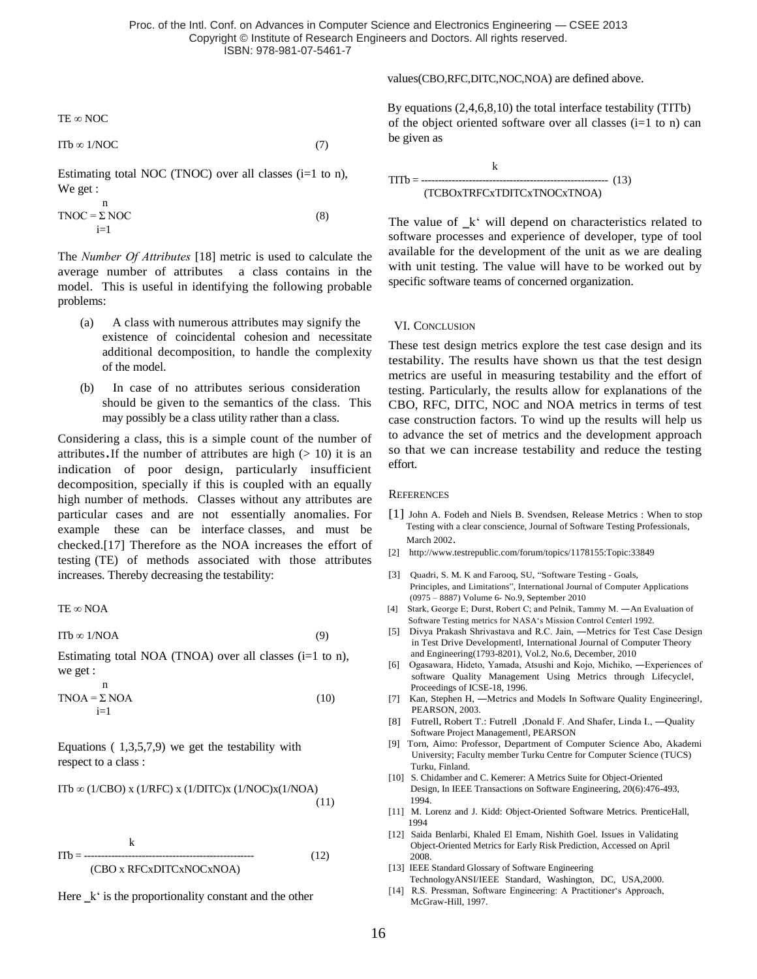TE ∞ NOC

$$
ITb \in 1/\text{NOC} \tag{7}
$$

Estimating total NOC (TNOC) over all classes  $(i=1 \text{ to } n)$ , We get :

$$
TNOC = \sum_{i=1}^{n} NOC
$$
 (8)

The *Number Of Attributes* [18] metric is used to calculate the average number of attributes a class contains in the model. This is useful in identifying the following probable problems:

- (a) A class with numerous attributes may signify the existence of coincidental cohesion and necessitate additional decomposition, to handle the complexity of the model.
- (b) In case of no attributes serious consideration should be given to the semantics of the class. This may possibly be a class utility rather than a class.

Considering a class, this is a simple count of the number of attributes. If the number of attributes are high  $(> 10)$  it is an indication of poor design, particularly insufficient decomposition, specially if this is coupled with an equally high [number of methods.](http://support.objecteering.com/objecteering6.1/help/us/metrics/metrics_in_detail/number_of_methods.htm) Classes without any attributes are particular cases and are not essentially anomalies. For example these can be interface classes, and must be checked.[17] Therefore as the NOA increases the effort of testing (TE) of methods associated with those attributes increases. Thereby decreasing the testability:

TE ∞ NOA

 $ITb \infty 1/NOA$  (9)

Estimating total NOA (TNOA) over all classes  $(i=1 \text{ to } n)$ , we get :

$$
TNOA = \sum_{i=1}^{n} NOA
$$
 (10)

Equations  $(1,3,5,7,9)$  we get the testability with respect to a class :

ITb  $\infty$  (1/CBO) x (1/RFC) x (1/DITC)x (1/NOC)x(1/NOA) (11)

$$
ITb = \frac{k}{\text{(CBO x RFCxDITCxNOCxNOA)}} \tag{12}
$$



values(CBO,RFC,DITC,NOC,NOA) are defined above.

By equations (2,4,6,8,10) the total interface testability (TITb) of the object oriented software over all classes  $(i=1$  to n) can be given as

$$
HTTb = \frac{k}{(TCBOxTRFCxTDITCxTNOCxTNOA)}
$$

The value of  $_k$ " will depend on characteristics related to software processes and experience of developer, type of tool available for the development of the unit as we are dealing with unit testing. The value will have to be worked out by specific software teams of concerned organization.

### VI. CONCLUSION

These test design metrics explore the test case design and its testability. The results have shown us that the test design metrics are useful in measuring testability and the effort of testing. Particularly, the results allow for explanations of the CBO, RFC, DITC, NOC and NOA metrics in terms of test case construction factors. To wind up the results will help us to advance the set of metrics and the development approach so that we can increase testability and reduce the testing effort.

#### **REFERENCES**

- [1] John A. Fodeh and Niels B. Svendsen, Release Metrics : When to stop Testing with a clear conscience, Journal of Software Testing Professionals, March 2002.
- [2] <http://www.testrepublic.com/forum/topics/1178155:Topic:33849>
- [3] Quadri, S. M. K and Farooq, SU, "Software Testing Goals, Principles, and Limitations", International Journal of Computer Applications (0975 – 8887) Volume 6- No.9, September 2010
- [4] Stark, George E; Durst, Robert C; and Pelnik, Tammy M. ―An Evaluation of Software Testing metrics for NASA's Mission Control Center 1992.
- [5] Divya Prakash Shrivastava and R.C. Jain, ―Metrics for Test Case Design in Test Drive Developmentl, International Journal of Computer Theory and Engineering(1793-8201), Vol.2, No.6, December, 2010
- [6] Ogasawara, Hideto, Yamada, Atsushi and Kojo, Michiko, ―Experiences of software Quality Management Using Metrics through Lifecyclel, Proceedings of ICSE-18, 1996.
- [7] Kan, Stephen H, —Metrics and Models In Software Quality Engineeringl, PEARSON, 2003.
- [8] Futrell, Robert T.: Futrell ,Donald F. And Shafer, Linda I., ―Quality Software Project Managementl, PEARSON
- [9] Torn, Aimo: Professor, Department of Computer Science Abo, Akademi University; Faculty member Turku Centre for Computer Science (TUCS) Turku, Finland.
- [10] S. Chidamber and C. Kemerer: A Metrics Suite for Object-Oriented Design, In IEEE Transactions on Software Engineering, 20(6):476-493, 1994.
- [11] M. Lorenz and J. Kidd: Object-Oriented Software Metrics. PrenticeHall, 1994
- [12] Saida Benlarbi, Khaled El Emam, Nishith Goel. Issues in Validating Object-Oriented Metrics for Early Risk Prediction, Accessed on April 2008.
- [13] IEEE Standard Glossary of Software Engineering
- TechnologyANSI/IEEE Standard, Washington, DC, USA,2000. [14] R.S. Pressman, Software Engineering: A Practitioner's Approach, McGraw-Hill, 1997.